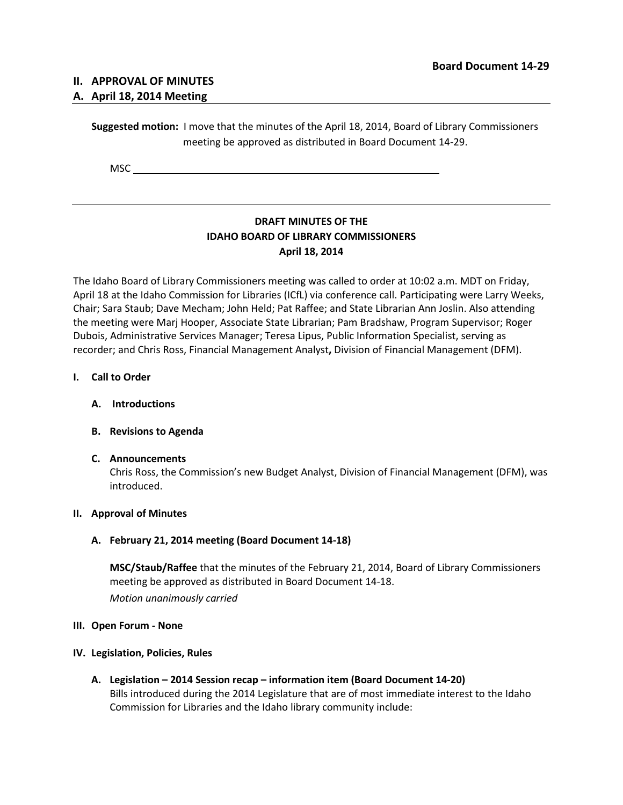# **II. APPROVAL OF MINUTES**

## **A. April 18, 2014 Meeting**

**Suggested motion:** I move that the minutes of the April 18, 2014, Board of Library Commissioners meeting be approved as distributed in Board Document 14-29.

**MSC** 

# **DRAFT MINUTES OF THE IDAHO BOARD OF LIBRARY COMMISSIONERS April 18, 2014**

The Idaho Board of Library Commissioners meeting was called to order at 10:02 a.m. MDT on Friday, April 18 at the Idaho Commission for Libraries (ICfL) via conference call. Participating were Larry Weeks, Chair; Sara Staub; Dave Mecham; John Held; Pat Raffee; and State Librarian Ann Joslin. Also attending the meeting were Marj Hooper, Associate State Librarian; Pam Bradshaw, Program Supervisor; Roger Dubois, Administrative Services Manager; Teresa Lipus, Public Information Specialist, serving as recorder; and Chris Ross, Financial Management Analyst**,** Division of Financial Management (DFM).

#### **I. Call to Order**

**A. Introductions**

## **B. Revisions to Agenda**

#### **C. Announcements**

Chris Ross, the Commission's new Budget Analyst, Division of Financial Management (DFM), was introduced.

#### **II. Approval of Minutes**

## **A. February 21, 2014 meeting (Board Document 14-18)**

**MSC/Staub/Raffee** that the minutes of the February 21, 2014, Board of Library Commissioners meeting be approved as distributed in Board Document 14-18. *Motion unanimously carried*

## **III. Open Forum - None**

#### **IV. Legislation, Policies, Rules**

**A. Legislation – 2014 Session recap – information item (Board Document 14-20)** Bills introduced during the 2014 Legislature that are of most immediate interest to the Idaho Commission for Libraries and the Idaho library community include: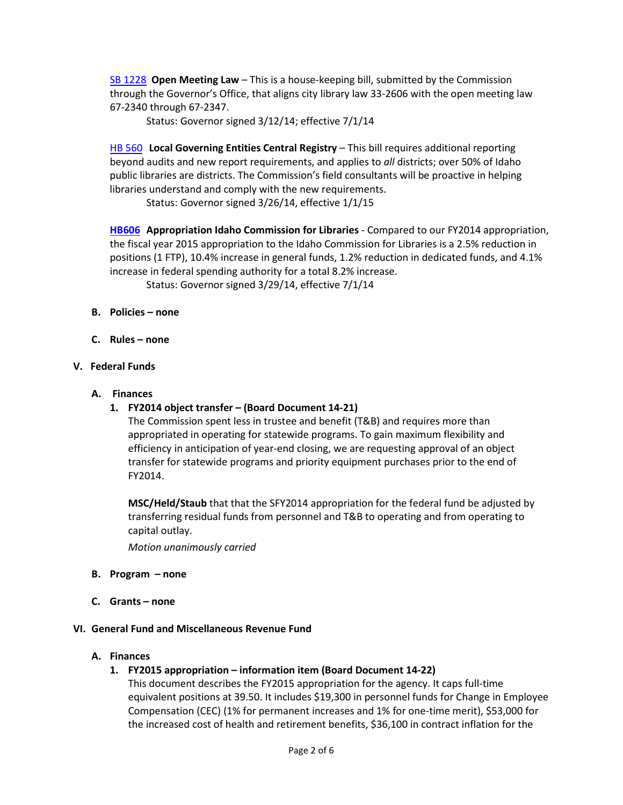[SB 1228](http://www.legislature.idaho.gov/legislation/2014/S1228.htm) **Open Meeting Law** – This is a house-keeping bill, submitted by the Commission through the Governor's Office, that aligns city library law 33-2606 with the open meeting law 67-2340 through 67-2347.

Status: Governor signed 3/12/14; effective 7/1/14

[HB 560](http://legislature.idaho.gov/legislation/2014/H0560.pdf) **Local Governing Entities Central Registry** – This bill requires additional reporting beyond audits and new report requirements, and applies to *all* districts; over 50% of Idaho public libraries are districts. The Commission's field consultants will be proactive in helping libraries understand and comply with the new requirements.

Status: Governor signed 3/26/14, effective 1/1/15

**[HB606](http://www.legislature.idaho.gov/legislation/2014/H0606.pdf) Appropriation Idaho Commission for Libraries** - Compared to our FY2014 appropriation, the fiscal year 2015 appropriation to the Idaho Commission for Libraries is a 2.5% reduction in positions (1 FTP), 10.4% increase in general funds, 1.2% reduction in dedicated funds, and 4.1% increase in federal spending authority for a total 8.2% increase.

Status: Governor signed 3/29/14, effective 7/1/14

- **B. Policies – none**
- **C. Rules – none**

## **V. Federal Funds**

- **A. Finances**
	- **1. FY2014 object transfer – (Board Document 14-21)**

The Commission spent less in trustee and benefit (T&B) and requires more than appropriated in operating for statewide programs. To gain maximum flexibility and efficiency in anticipation of year-end closing, we are requesting approval of an object transfer for statewide programs and priority equipment purchases prior to the end of FY2014.

**MSC/Held/Staub** that that the SFY2014 appropriation for the federal fund be adjusted by transferring residual funds from personnel and T&B to operating and from operating to capital outlay.

*Motion unanimously carried*

- **B. Program – none**
- **C. Grants – none**

## **VI. General Fund and Miscellaneous Revenue Fund**

## **A. Finances**

**1. FY2015 appropriation – information item (Board Document 14-22)**

This document describes the FY2015 appropriation for the agency. It caps full-time equivalent positions at 39.50. It includes \$19,300 in personnel funds for Change in Employee Compensation (CEC) (1% for permanent increases and 1% for one-time merit), \$53,000 for the increased cost of health and retirement benefits, \$36,100 in contract inflation for the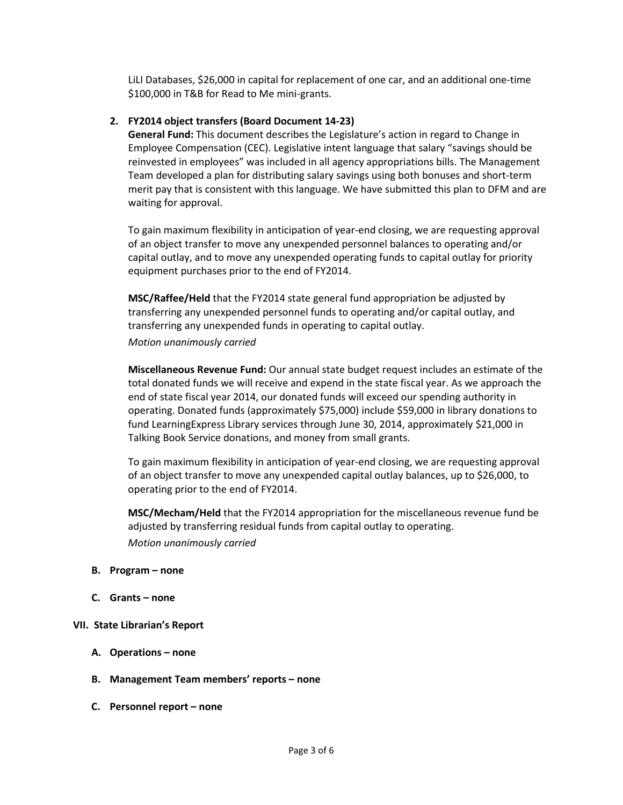LiLI Databases, \$26,000 in capital for replacement of one car, and an additional one-time \$100,000 in T&B for Read to Me mini-grants.

## **2. FY2014 object transfers (Board Document 14-23)**

**General Fund:** This document describes the Legislature's action in regard to Change in Employee Compensation (CEC). Legislative intent language that salary "savings should be reinvested in employees" was included in all agency appropriations bills. The Management Team developed a plan for distributing salary savings using both bonuses and short-term merit pay that is consistent with this language. We have submitted this plan to DFM and are waiting for approval.

To gain maximum flexibility in anticipation of year-end closing, we are requesting approval of an object transfer to move any unexpended personnel balances to operating and/or capital outlay, and to move any unexpended operating funds to capital outlay for priority equipment purchases prior to the end of FY2014.

**MSC/Raffee/Held** that the FY2014 state general fund appropriation be adjusted by transferring any unexpended personnel funds to operating and/or capital outlay, and transferring any unexpended funds in operating to capital outlay.

*Motion unanimously carried*

**Miscellaneous Revenue Fund:** Our annual state budget request includes an estimate of the total donated funds we will receive and expend in the state fiscal year. As we approach the end of state fiscal year 2014, our donated funds will exceed our spending authority in operating. Donated funds (approximately \$75,000) include \$59,000 in library donations to fund LearningExpress Library services through June 30, 2014, approximately \$21,000 in Talking Book Service donations, and money from small grants.

To gain maximum flexibility in anticipation of year-end closing, we are requesting approval of an object transfer to move any unexpended capital outlay balances, up to \$26,000, to operating prior to the end of FY2014.

**MSC/Mecham/Held** that the FY2014 appropriation for the miscellaneous revenue fund be adjusted by transferring residual funds from capital outlay to operating. *Motion unanimously carried*

- **B. Program – none**
- **C. Grants – none**

## **VII. State Librarian's Report**

- **A. Operations – none**
- **B. Management Team members' reports – none**
- **C. Personnel report – none**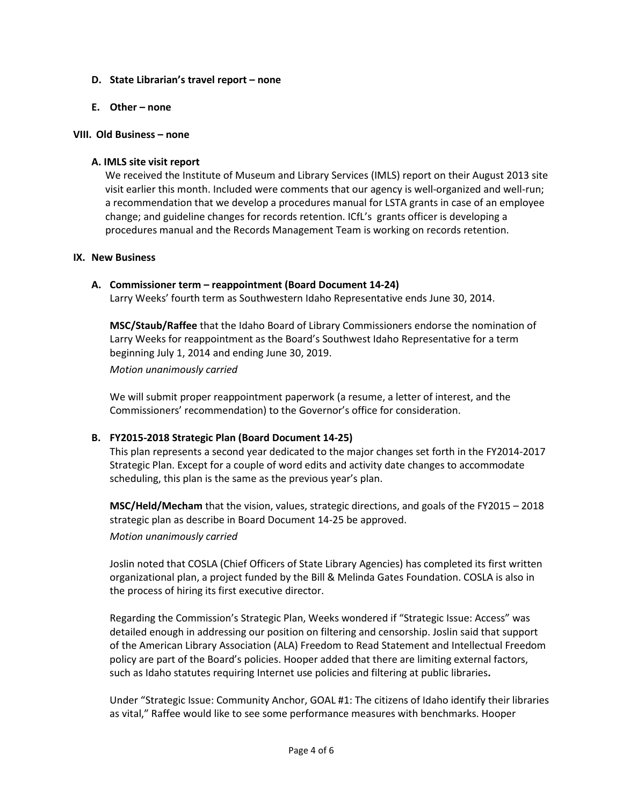#### **D. State Librarian's travel report – none**

#### **E. Other – none**

#### **VIII. Old Business – none**

### **A. IMLS site visit report**

We received the Institute of Museum and Library Services (IMLS) report on their August 2013 site visit earlier this month. Included were comments that our agency is well-organized and well-run; a recommendation that we develop a procedures manual for LSTA grants in case of an employee change; and guideline changes for records retention. ICfL's grants officer is developing a procedures manual and the Records Management Team is working on records retention.

#### **IX. New Business**

#### **A. Commissioner term – reappointment (Board Document 14-24)**

Larry Weeks' fourth term as Southwestern Idaho Representative ends June 30, 2014.

**MSC/Staub/Raffee** that the Idaho Board of Library Commissioners endorse the nomination of Larry Weeks for reappointment as the Board's Southwest Idaho Representative for a term beginning July 1, 2014 and ending June 30, 2019.

*Motion unanimously carried*

We will submit proper reappointment paperwork (a resume, a letter of interest, and the Commissioners' recommendation) to the Governor's office for consideration.

## **B. FY2015-2018 Strategic Plan (Board Document 14-25)**

This plan represents a second year dedicated to the major changes set forth in the FY2014-2017 Strategic Plan. Except for a couple of word edits and activity date changes to accommodate scheduling, this plan is the same as the previous year's plan.

**MSC/Held/Mecham** that the vision, values, strategic directions, and goals of the FY2015 – 2018 strategic plan as describe in Board Document 14-25 be approved. *Motion unanimously carried*

Joslin noted that COSLA (Chief Officers of State Library Agencies) has completed its first written organizational plan, a project funded by the Bill & Melinda Gates Foundation. COSLA is also in the process of hiring its first executive director.

Regarding the Commission's Strategic Plan, Weeks wondered if "Strategic Issue: Access" was detailed enough in addressing our position on filtering and censorship. Joslin said that support of the American Library Association (ALA) Freedom to Read Statement and Intellectual Freedom policy are part of the Board's policies. Hooper added that there are limiting external factors, such as Idaho statutes requiring Internet use policies and filtering at public libraries**.** 

Under "Strategic Issue: Community Anchor, GOAL #1: The citizens of Idaho identify their libraries as vital," Raffee would like to see some performance measures with benchmarks. Hooper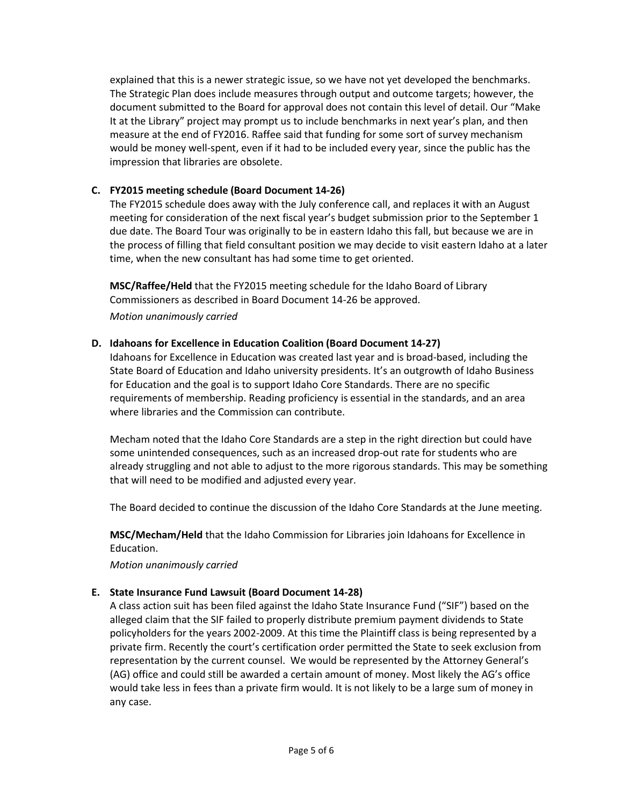explained that this is a newer strategic issue, so we have not yet developed the benchmarks. The Strategic Plan does include measures through output and outcome targets; however, the document submitted to the Board for approval does not contain this level of detail. Our "Make It at the Library" project may prompt us to include benchmarks in next year's plan, and then measure at the end of FY2016. Raffee said that funding for some sort of survey mechanism would be money well-spent, even if it had to be included every year, since the public has the impression that libraries are obsolete.

# **C. FY2015 meeting schedule (Board Document 14-26)**

The FY2015 schedule does away with the July conference call, and replaces it with an August meeting for consideration of the next fiscal year's budget submission prior to the September 1 due date. The Board Tour was originally to be in eastern Idaho this fall, but because we are in the process of filling that field consultant position we may decide to visit eastern Idaho at a later time, when the new consultant has had some time to get oriented.

**MSC/Raffee/Held** that the FY2015 meeting schedule for the Idaho Board of Library Commissioners as described in Board Document 14-26 be approved. *Motion unanimously carried*

## **D. Idahoans for Excellence in Education Coalition (Board Document 14-27)**

Idahoans for Excellence in Education was created last year and is broad-based, including the State Board of Education and Idaho university presidents. It's an outgrowth of Idaho Business for Education and the goal is to support Idaho Core Standards. There are no specific requirements of membership. Reading proficiency is essential in the standards, and an area where libraries and the Commission can contribute.

Mecham noted that the Idaho Core Standards are a step in the right direction but could have some unintended consequences, such as an increased drop-out rate for students who are already struggling and not able to adjust to the more rigorous standards. This may be something that will need to be modified and adjusted every year.

The Board decided to continue the discussion of the Idaho Core Standards at the June meeting.

**MSC/Mecham/Held** that the Idaho Commission for Libraries join Idahoans for Excellence in Education.

*Motion unanimously carried*

# **E. State Insurance Fund Lawsuit (Board Document 14-28)**

A class action suit has been filed against the Idaho State Insurance Fund ("SIF") based on the alleged claim that the SIF failed to properly distribute premium payment dividends to State policyholders for the years 2002-2009. At this time the Plaintiff class is being represented by a private firm. Recently the court's certification order permitted the State to seek exclusion from representation by the current counsel. We would be represented by the Attorney General's (AG) office and could still be awarded a certain amount of money. Most likely the AG's office would take less in fees than a private firm would. It is not likely to be a large sum of money in any case.